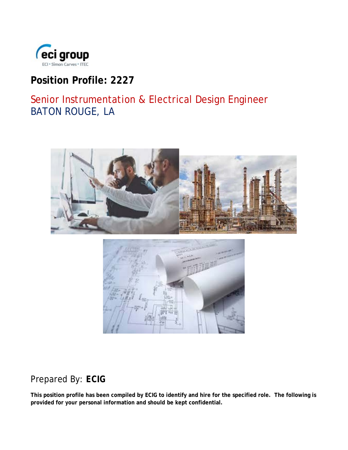

# **Position Profile: 2227**

# Senior Instrumentation & Electrical Design Engineer BATON ROUGE, LA



## Prepared By: *ECIG*

**This position profile has been compiled by ECIG to identify and hire for the specified role. The following is provided for your personal information and should be kept confidential.**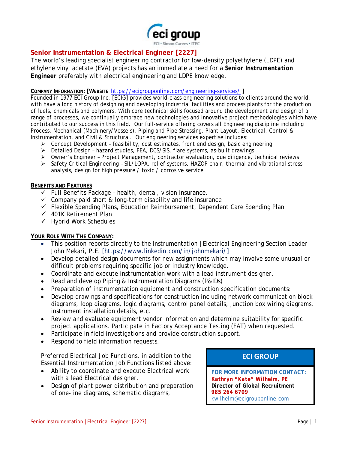

### **Senior Instrumentation & Electrical Engineer [2227]**

The world's leading specialist engineering contractor for low-density polyethylene (LDPE) and ethylene vinyl acetate (EVA) projects has an immediate a need for a *Senior Instrumentation Engineer* preferably with electrical engineering and LDPE knowledge.

#### **COMPANY INFORMATION: [WEBSITE** <https://ecigrouponline.com/engineering-services/> ]

Founded in 1977 ECI Group Inc. [ECIG] provides world-class engineering solutions to clients around the world, with have a long history of designing and developing industrial facilities and process plants for the production of fuels, chemicals and polymers. With core technical skills focused around the development and design of a range of processes, we continually embrace new technologies and innovative project methodologies which have contributed to our success in this field. Our full-service offering covers all Engineering discipline including Process, Mechanical (Machinery/Vessels), Piping and Pipe Stressing, Plant Layout, Electrical, Control & Instrumentation, and Civil & Structural. Our engineering services expertise includes:

- $\triangleright$  Concept Development feasibility, cost estimates, front end design, basic engineering
- Detailed Design hazard studies, FEA, DCS/SIS, flare systems, as-built drawings
- $\triangleright$  Owner's Engineer Project Management, contractor evaluation, due diligence, technical reviews
- $\triangleright$  Safety Critical Engineering SIL/LOPA, relief systems, HAZOP chair, thermal and vibrational stress analysis, design for high pressure / toxic / corrosive service

#### **BENEFITS AND FEATURES**

- $\checkmark$  Full Benefits Package health, dental, vision insurance.
- $\checkmark$  Company paid short & long-term disability and life insurance
- Flexible Spending Plans, Education Reimbursement, Dependent Care Spending Plan
- $\checkmark$  401K Retirement Plan
- $\checkmark$  Hybrid Work Schedules

#### **YOUR ROLE WITH THE COMPANY:**

- This position reports directly to the Instrumentation |Electrical Engineering Section Leader John Mekari, P.E. [https://www.linkedin.com/in/johnmekari/]
- Develop detailed design documents for new assignments which may involve some unusual or difficult problems requiring specific job or industry knowledge.
- Coordinate and execute instrumentation work with a lead instrument designer.
- Read and develop Piping & Instrumentation Diagrams (P&IDs)
- Preparation of instrumentation equipment and construction specification documents:
- Develop drawings and specifications for construction including network communication block diagrams, loop diagrams, logic diagrams, control panel details, junction box wiring diagrams, instrument installation details, etc.
- Review and evaluate equipment vendor information and determine suitability for specific project applications. Participate in Factory Acceptance Testing (FAT) when requested.
- Participate in field investigations and provide construction support.
- Respond to field information requests.

#### *Preferred Electrical Job Functions, in addition to the Essential Instrumentation Job Functions listed above:*

- Ability to coordinate and execute Electrical work with a lead Electrical designer.
- Design of plant power distribution and preparation of one-line diagrams, schematic diagrams,

### **ECI GROUP**

**FOR MORE INFORMATION CONTACT:** *Kathryn "Kate" Wilhelm, PE Director of Global Recruitment 985 264 6709* kwilhelm@ecigrouponline.com